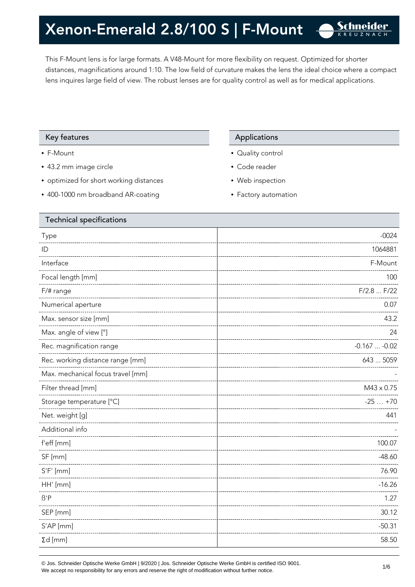This F-Mount lens is for large formats. A V48-Mount for more flexibility on request. Optimized for shorter distances, magnifications around 1:10. The low field of curvature makes the lens the ideal choice where a compact lens inquires large field of view. The robust lenses are for quality control as well as for medical applications.

#### Key features **Applications** Applications

- F-Mount
- 43.2 mm image circle
- optimized for short working distances
- 400-1000 nm broadband AR-coating

- Quality control
- Code reader
- Web inspection
- Factory automation

| <b>Technical specifications</b>   |                   |
|-----------------------------------|-------------------|
| Type                              | $-0024$           |
| ID                                | 1064881           |
| Interface                         | F-Mount           |
| Focal length [mm]                 | 100               |
| F/# range                         | F/2.8  F/22       |
| Numerical aperture                | 0.07              |
| Max. sensor size [mm]             | 43.2              |
| Max. angle of view [°]            | 24                |
| Rec. magnification range          | $-0.167 -0.02$    |
| Rec. working distance range [mm]  | 643  5059         |
| Max. mechanical focus travel [mm] |                   |
| Filter thread [mm]                | $M43 \times 0.75$ |
| Storage temperature [°C]          | $-25+70$          |
| Net. weight [g]                   | 441               |
| Additional info                   |                   |
| f'eff [mm]                        | 100.07            |
| SF [mm]                           | $-48.60$          |
| $S'F'$ [mm]                       | 76.90             |
| HH' [mm]                          | $-16.26$          |
| $\beta$ 'P                        | 1.27              |
| SEP [mm]                          | 30.12             |
| S'AP [mm]                         | $-50.31$          |
| $\Sigma d$ [mm]                   | 58.50             |
|                                   |                   |

© Jos. Schneider Optische Werke GmbH | 9/2020 | Jos. Schneider Optische Werke GmbH is certified ISO 9001.  $\bullet$  Jos. Scrimender Optiscrie werke Grillon | 9/2020 | Jos. Scrimender Optiscrie werke Grillon is certified iSO 9001.<br>We accept no responsibility for any errors and reserve the right of modification without further notice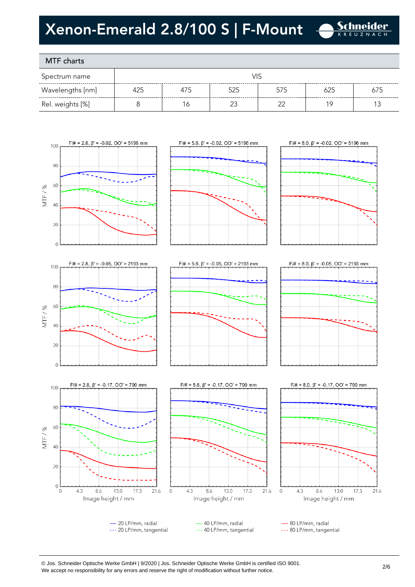

### MTF charts

60

40

20

 $\theta$ 

MTF/%

| Spectrum name    |     |     |     |     |     |     |
|------------------|-----|-----|-----|-----|-----|-----|
| Wavelengths [nm] | 425 | 475 | 525 | 575 | 625 | 675 |
| Rel. weights [%] |     | ١ć  |     | רר  |     |     |









© Jos. Schneider Optische Werke GmbH | 9/2020 | Jos. Schneider Optische Werke GmbH is certified ISO 9001. We accept no responsibility for any errors and reserve the right of modification without further notice.<br>We accept no responsibility for any errors and reserve the right of modification without further notice.

21.6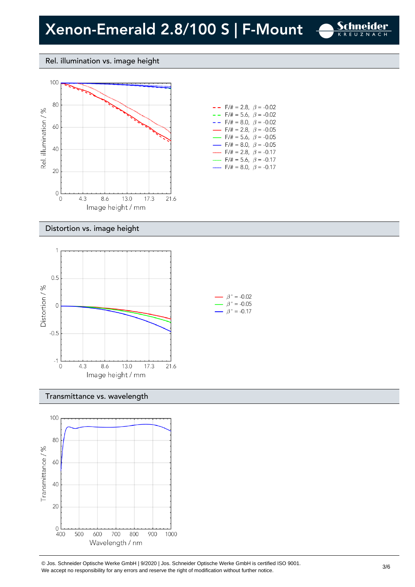

#### Rel. illumination vs. image height



| $- -$ F/# = 2.8, $\beta$ = -0.02         |  |
|------------------------------------------|--|
| $- -$ F/# = 5.6, $\beta$ = -0.02         |  |
| $- -$ F/# = 8.0, $\beta$ = -0.02         |  |
| $\rightarrow$ F/# = 2.8, $\beta$ = -0.05 |  |
| $\rightarrow$ F/# = 5.6, $\beta$ = -0.05 |  |
| $\rightarrow$ F/# = 8.0, $\beta$ = -0.05 |  |
| $F/\ddot{=} = 2.8, \ \beta = -0.17$      |  |
| $F/\ddot{=} = 5.6$ , $\beta = -0.17$     |  |
| F/# = 8.0, $\beta$ = -0.17               |  |

#### Distortion vs. image height



#### Transmittance vs. wavelength



© Jos. Schneider Optische Werke GmbH | 9/2020 | Jos. Schneider Optische Werke GmbH is certified ISO 9001.  $\degree$  Jos. Scrifielder Optiscrie werke Grillom | 9/2020 | Jos. Scrifielder Optiscrie werke Grillom is certified iSO 9001.<br>We accept no responsibility for any errors and reserve the right of modification without further noti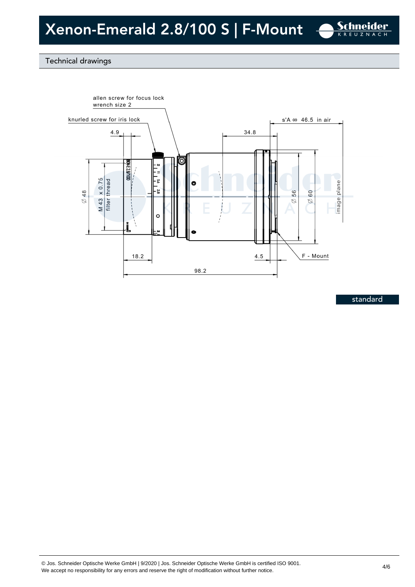

#### Technical drawings



standard